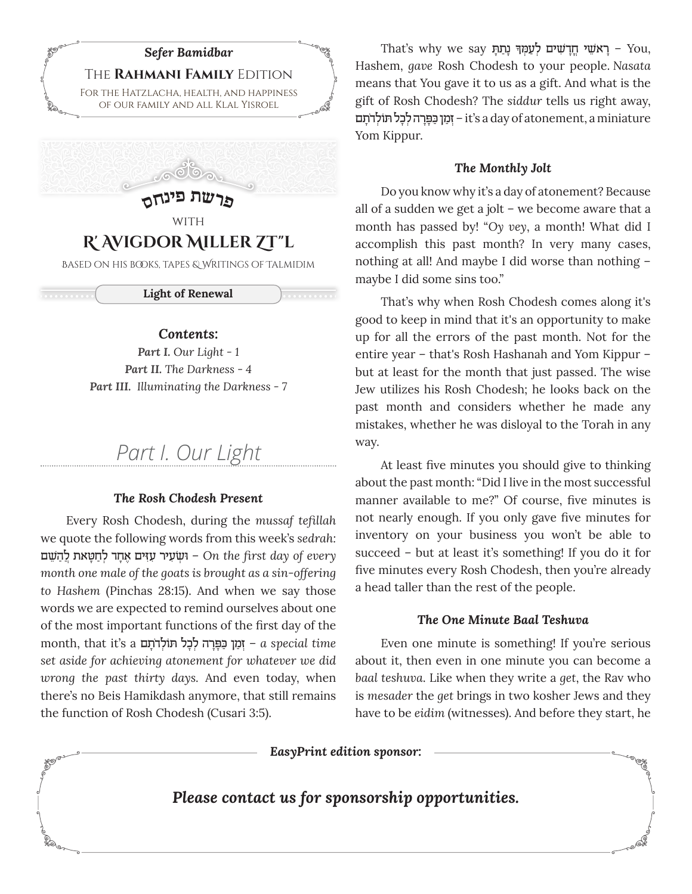

## **R' Avigdor Miller Zt"l**

Based on his books, tapes & Writings of Talmidim

. . . . . . . . .

**CONTROLLED** 

**Light of Renewal**

#### *Contents:*

*Part I. Our Light - 1 Part II. The Darkness - 4 Part III. Illuminating the Darkness - 7*

# *Part I. Our Light*

#### *The Rosh Chodesh Present*

Every Rosh Chodesh, during the *mussaf tefillah* we quote the following words from this week's *sedrah:*  <u> ישׂעיר עזים אחד לחַטַאת לַהשׁם − On</u> the first day of every *month one male of the goats is brought as a sin-offering to Hashem* (Pinchas 28:15). And when we say those words we are expected to remind ourselves about one of the most important functions of the first day of the month, that it's a **יִמַן כַּפָּרָה לְכָל הּוֹלְ**דֹתָם *a special time set aside for achieving atonement for whatever we did wrong the past thirty days.* And even today, when there's no Beis Hamikdash anymore, that still remains the function of Rosh Chodesh (Cusari 3:5).

That's why we say יְעַמְהִּ נְתַתְּ גָתַתְּ – You, Hashem, *gave* Rosh Chodesh to your people. *Nasata* means that You gave it to us as a gift. And what is the gift of Rosh Chodesh? The *siddur* tells us right away, ימן כּפֵרה לכל תּוֹלדתם – it's a day of atonement, a miniature Yom Kippur.

#### *The Monthly Jolt*

Do you know why it's a day of atonement? Because all of a sudden we get a jolt – we become aware that a month has passed by! "*Oy vey*, a month! What did I accomplish this past month? In very many cases, nothing at all! And maybe I did worse than nothing – maybe I did some sins too."

That's why when Rosh Chodesh comes along it's good to keep in mind that it's an opportunity to make up for all the errors of the past month. Not for the entire year – that's Rosh Hashanah and Yom Kippur – but at least for the month that just passed. The wise Jew utilizes his Rosh Chodesh; he looks back on the past month and considers whether he made any mistakes, whether he was disloyal to the Torah in any way.

At least five minutes you should give to thinking about the past month: "Did I live in the most successful manner available to me?" Of course, five minutes is not nearly enough. If you only gave five minutes for inventory on your business you won't be able to succeed – but at least it's something! If you do it for five minutes every Rosh Chodesh, then you're already a head taller than the rest of the people.

#### *The One Minute Baal Teshuva*

Even one minute is something! If you're serious about it, then even in one minute you can become a *baal teshuva*. Like when they write a *get*, the Rav who is *mesader* the *get* brings in two kosher Jews and they have to be *eidim* (witnesses). And before they start, he

*EasyPrint edition sponsor:*

*Please contact us for sponsorship opportunities.*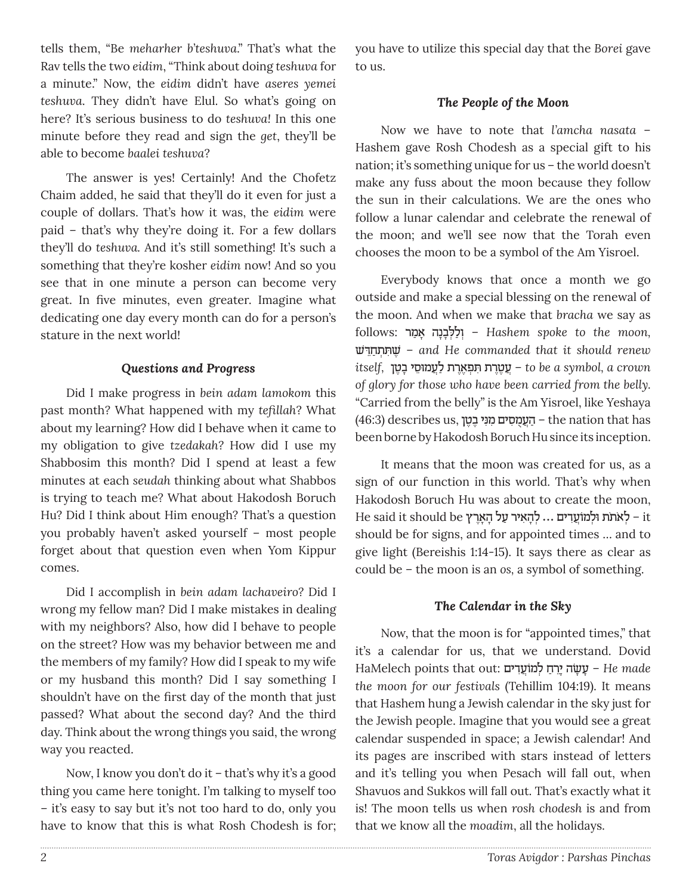tells them, "Be *meharher b'teshuva*." That's what the Rav tells the two *eidim*, "Think about doing *teshuva* for a minute." Now, the *eidim* didn't have *aseres yemei teshuva*. They didn't have Elul. So what's going on here? It's serious business to do *teshuva!* In this one minute before they read and sign the *get*, they'll be able to become *baalei teshuva*?

The answer is yes! Certainly! And the Chofetz Chaim added, he said that they'll do it even for just a couple of dollars. That's how it was, the *eidim* were paid – that's why they're doing it. For a few dollars they'll do *teshuva.* And it's still something! It's such a something that they're kosher *eidim* now! And so you see that in one minute a person can become very great. In five minutes, even greater. Imagine what dedicating one day every month can do for a person's stature in the next world!

#### *Questions and Progress*

Did I make progress in *bein adam lamokom* this past month*?* What happened with my *tefillah*? What about my learning? How did I behave when it came to my obligation to give *tzedakah?* How did I use my Shabbosim this month? Did I spend at least a few minutes at each *seudah* thinking about what Shabbos is trying to teach me? What about Hakodosh Boruch Hu? Did I think about Him enough? That's a question you probably haven't asked yourself – most people forget about that question even when Yom Kippur comes.

Did I accomplish in *bein adam lachaveiro?* Did I wrong my fellow man? Did I make mistakes in dealing with my neighbors? Also, how did I behave to people on the street? How was my behavior between me and the members of my family? How did I speak to my wife or my husband this month? Did I say something I shouldn't have on the first day of the month that just passed? What about the second day? And the third day. Think about the wrong things you said, the wrong way you reacted.

Now, I know you don't do it – that's why it's a good thing you came here tonight. I'm talking to myself too – it's easy to say but it's not too hard to do, only you have to know that this is what Rosh Chodesh is for;

you have to utilize this special day that the *Borei* gave to us.

#### *The People of the Moon*

Now we have to note that *l'amcha nasata* – Hashem gave Rosh Chodesh as a special gift to his nation; it's something unique for us – the world doesn't make any fuss about the moon because they follow the sun in their calculations. We are the ones who follow a lunar calendar and celebrate the renewal of the moon; and we'll see now that the Torah even chooses the moon to be a symbol of the Am Yisroel.

Everybody knows that once a month we go outside and make a special blessing on the renewal of the moon. And when we make that *bracha* we say as  *,moon the to spoke Hashem*¿ – וַל ּ¿לָבָנה ָ ‡ַמר :follows ˘ׁ "ּ ≈חַ˙ ¿˙ƒּ ˘∆ׁ – *and He commanded that it should renew crown a ,symbol a be to* – ֲע∆ט∆ר ּƒ¿ ˙ ˙פ∆‡∆ר˙ ַלֲע ּמו≈סי ָב∆טן *,itself of glory for those who have been carried from the belly.*  "Carried from the belly" is the Am Yisroel, like Yeshaya  $(46:3)$  describes us, הַעֲמָסִים מִנִּי בֵטֵן – the nation that has been borne by Hakodosh Boruch Hu since its inception.

It means that the moon was created for us, as a sign of our function in this world. That's why when Hakodosh Boruch Hu was about to create the moon, He said it should be לֹאתֹת וּלְמוֹעֲדִים ... לְהָאִיר עַל הָאָרֵץ – it should be for signs, and for appointed times … and to give light (Bereishis 1:14-15). It says there as clear as could be – the moon is an *os,* a symbol of something.

#### *The Calendar in the Sky*

Now, that the moon is for "appointed times," that it's a calendar for us, that we understand. Dovid HaMelech points that out: **עֲשֶׂה יֵרֵח לְמוֹעֲדִים** - He made *the moon for our festivals* (Tehillim 104:19). It means that Hashem hung a Jewish calendar in the sky just for the Jewish people. Imagine that you would see a great calendar suspended in space; a Jewish calendar! And its pages are inscribed with stars instead of letters and it's telling you when Pesach will fall out, when Shavuos and Sukkos will fall out. That's exactly what it is! The moon tells us when *rosh chodesh* is and from that we know all the *moadim*, all the holidays.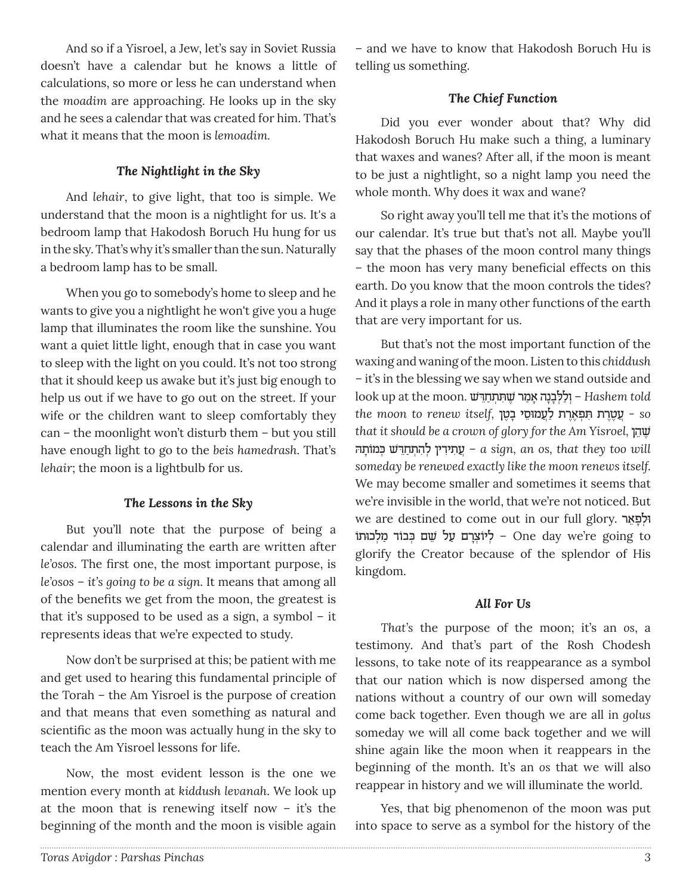And so if a Yisroel, a Jew, let's say in Soviet Russia doesn't have a calendar but he knows a little of calculations, so more or less he can understand when the *moadim* are approaching. He looks up in the sky and he sees a calendar that was created for him. That's what it means that the moon is *lemoadim.*

## *The Nightlight in the Sky*

And *lehair*, to give light, that too is simple. We understand that the moon is a nightlight for us. It's a bedroom lamp that Hakodosh Boruch Hu hung for us in the sky. That's why it's smaller than the sun. Naturally a bedroom lamp has to be small.

When you go to somebody's home to sleep and he wants to give you a nightlight he won't give you a huge lamp that illuminates the room like the sunshine. You want a quiet little light, enough that in case you want to sleep with the light on you could. It's not too strong that it should keep us awake but it's just big enough to help us out if we have to go out on the street. If your wife or the children want to sleep comfortably they can – the moonlight won't disturb them – but you still have enough light to go to the *beis hamedrash.* That's *lehair*; the moon is a lightbulb for us.

#### *The Lessons in the Sky*

But you'll note that the purpose of being a calendar and illuminating the earth are written after *le'osos*. The first one, the most important purpose, is *le'osos* – *it's going to be a sign.* It means that among all of the benefits we get from the moon, the greatest is that it's supposed to be used as a sign, a symbol – it represents ideas that we're expected to study.

Now don't be surprised at this; be patient with me and get used to hearing this fundamental principle of the Torah – the Am Yisroel is the purpose of creation and that means that even something as natural and scientific as the moon was actually hung in the sky to teach the Am Yisroel lessons for life.

Now, the most evident lesson is the one we mention every month at *kiddush levanah*. We look up at the moon that is renewing itself now – it's the beginning of the month and the moon is visible again

– and we have to know that Hakodosh Boruch Hu is telling us something.

## *The Chief Function*

Did you ever wonder about that? Why did Hakodosh Boruch Hu make such a thing, a luminary that waxes and wanes? After all, if the moon is meant to be just a nightlight, so a night lamp you need the whole month. Why does it wax and wane?

So right away you'll tell me that it's the motions of our calendar. It's true but that's not all. Maybe you'll say that the phases of the moon control many things – the moon has very many beneficial effects on this earth. Do you know that the moon controls the tides? And it plays a role in many other functions of the earth that are very important for us.

But that's not the most important function of the waxing and waning of the moon. Listen to this *chiddush –* it's in the blessing we say when we stand outside and look up at the moon. ˘ׁ "ּ ≈חַ˙ ¿˙ƒּ ˘ ∆ׁ מרַ ‡ָ נהָבָל¿ּ לַו – ¿*Hashem told so* - ֲע∆ט∆ר ּƒ¿ ˙ ˙פ∆‡∆ר˙ ַלֲע ּמו≈סי ָב∆טן *,itself renew to moon the that it should be a crown of glory for the Am Yisroel,* הן∆ ˘≈ׁ הּ˙ ָמוֹ כּ˘ ¿ׁ" ּ≈ חַ ¿˙הƒ ל ¿ין"ƒי˙ƒ עֲ – *a sign, an os, that they too will someday be renewed exactly like the moon renews itself.*  We may become smaller and sometimes it seems that we're invisible in the world, that we're not noticed. But we are destined to come out in our full glory. וּלְפָאֵר יֹוֹצָרָם עַל שֵׁם כִּבוֹד מַלְכוּתוֹ − One day we're going to glorify the Creator because of the splendor of His kingdom.

#### *All For Us*

*That's* the purpose of the moon; it's an *os*, a testimony. And that's part of the Rosh Chodesh lessons, to take note of its reappearance as a symbol that our nation which is now dispersed among the nations without a country of our own will someday come back together. Even though we are all in *golus* someday we will all come back together and we will shine again like the moon when it reappears in the beginning of the month. It's an *os* that we will also reappear in history and we will illuminate the world.

Yes, that big phenomenon of the moon was put into space to serve as a symbol for the history of the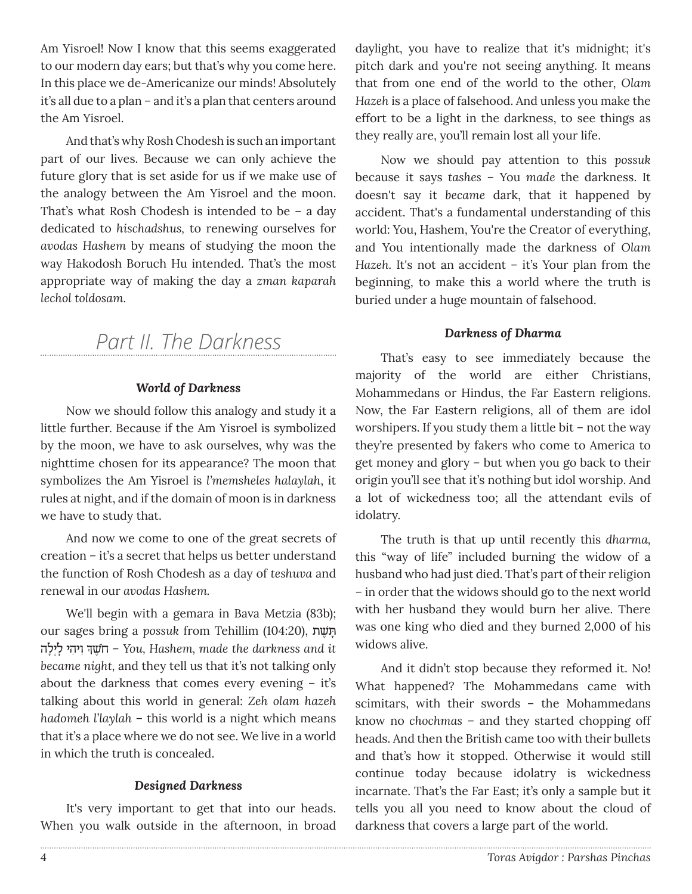Am Yisroel! Now I know that this seems exaggerated to our modern day ears; but that's why you come here. In this place we de-Americanize our minds! Absolutely it's all due to a plan – and it's a plan that centers around the Am Yisroel.

And that's why Rosh Chodesh is such an important part of our lives. Because we can only achieve the future glory that is set aside for us if we make use of the analogy between the Am Yisroel and the moon. That's what Rosh Chodesh is intended to be – a day dedicated to *hischadshus,* to renewing ourselves for *avodas Hashem* by means of studying the moon the way Hakodosh Boruch Hu intended. That's the most appropriate way of making the day a *zman kaparah lechol toldosam.*

# *Part II. The Darkness*

## *World of Darkness*

Now we should follow this analogy and study it a little further. Because if the Am Yisroel is symbolized by the moon, we have to ask ourselves, why was the nighttime chosen for its appearance? The moon that symbolizes the Am Yisroel is *l'memsheles halaylah*, it rules at night, and if the domain of moon is in darkness we have to study that.

And now we come to one of the great secrets of creation – it's a secret that helps us better understand the function of Rosh Chodesh as a day of *teshuva* and renewal in our *avodas Hashem.*

We'll begin with a gemara in Bava Metzia (83b); our sages bring a *possuk* from Tehillim (104:20), יִתְּשֶׁת ¿ ƒו ƒיהי ָל¿יָלה ך∆˘ׁ חֹ – *You, Hashem, made the darkness and it became night,* and they tell us that it's not talking only about the darkness that comes every evening – it's talking about this world in general: *Zeh olam hazeh hadomeh l'laylah* – this world is a night which means that it's a place where we do not see. We live in a world in which the truth is concealed.

## *Designed Darkness*

It's very important to get that into our heads. When you walk outside in the afternoon, in broad daylight, you have to realize that it's midnight; it's pitch dark and you're not seeing anything. It means that from one end of the world to the other, *Olam Hazeh* is a place of falsehood. And unless you make the effort to be a light in the darkness, to see things as they really are, you'll remain lost all your life.

Now we should pay attention to this *possuk* because it says *tashes* – You *made* the darkness. It doesn't say it *became* dark, that it happened by accident. That's a fundamental understanding of this world: You, Hashem, You're the Creator of everything, and You intentionally made the darkness of *Olam Hazeh.* It's not an accident – it's Your plan from the beginning, to make this a world where the truth is buried under a huge mountain of falsehood.

#### *Darkness of Dharma*

That's easy to see immediately because the majority of the world are either Christians, Mohammedans or Hindus, the Far Eastern religions. Now, the Far Eastern religions, all of them are idol worshipers. If you study them a little bit – not the way they're presented by fakers who come to America to get money and glory – but when you go back to their origin you'll see that it's nothing but idol worship. And a lot of wickedness too; all the attendant evils of idolatry.

The truth is that up until recently this *dharma,*  this "way of life" included burning the widow of a husband who had just died. That's part of their religion – in order that the widows should go to the next world with her husband they would burn her alive. There was one king who died and they burned 2,000 of his widows alive.

And it didn't stop because they reformed it. No! What happened? The Mohammedans came with scimitars, with their swords – the Mohammedans know no *chochmas* – and they started chopping off heads. And then the British came too with their bullets and that's how it stopped. Otherwise it would still continue today because idolatry is wickedness incarnate. That's the Far East; it's only a sample but it tells you all you need to know about the cloud of darkness that covers a large part of the world.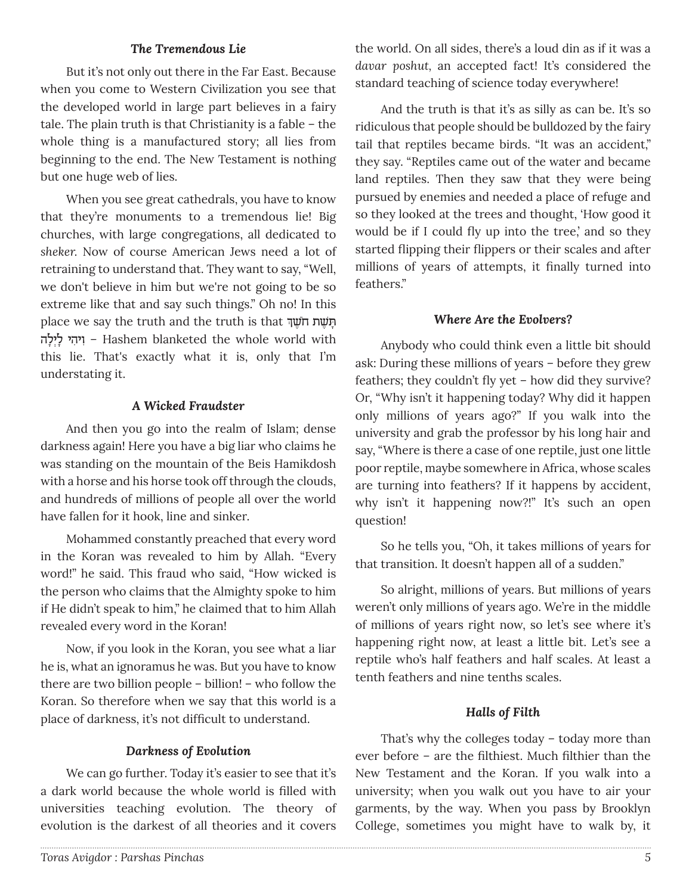## *The Tremendous Lie*

But it's not only out there in the Far East. Because when you come to Western Civilization you see that the developed world in large part believes in a fairy tale. The plain truth is that Christianity is a fable – the whole thing is a manufactured story; all lies from beginning to the end. The New Testament is nothing but one huge web of lies.

When you see great cathedrals, you have to know that they're monuments to a tremendous lie! Big churches, with large congregations, all dedicated to *sheker.* Now of course American Jews need a lot of retraining to understand that. They want to say, "Well, we don't believe in him but we're not going to be so extreme like that and say such things." Oh no! In this place we say the truth and the truth is that תְּשֶׁת להָי¿לָ יהיƒ וƒ – Hashem blanketed the whole world with this lie. That's exactly what it is, only that I'm understating it.

#### *A Wicked Fraudster*

And then you go into the realm of Islam; dense darkness again! Here you have a big liar who claims he was standing on the mountain of the Beis Hamikdosh with a horse and his horse took off through the clouds, and hundreds of millions of people all over the world have fallen for it hook, line and sinker.

Mohammed constantly preached that every word in the Koran was revealed to him by Allah. "Every word!" he said. This fraud who said, "How wicked is the person who claims that the Almighty spoke to him if He didn't speak to him," he claimed that to him Allah revealed every word in the Koran!

Now, if you look in the Koran, you see what a liar he is, what an ignoramus he was. But you have to know there are two billion people – billion! – who follow the Koran. So therefore when we say that this world is a place of darkness, it's not difficult to understand.

#### *Darkness of Evolution*

We can go further. Today it's easier to see that it's a dark world because the whole world is filled with universities teaching evolution. The theory of evolution is the darkest of all theories and it covers

the world. On all sides, there's a loud din as if it was a *davar poshut,* an accepted fact! It's considered the standard teaching of science today everywhere!

And the truth is that it's as silly as can be. It's so ridiculous that people should be bulldozed by the fairy tail that reptiles became birds. "It was an accident," they say. "Reptiles came out of the water and became land reptiles. Then they saw that they were being pursued by enemies and needed a place of refuge and so they looked at the trees and thought, 'How good it would be if I could fly up into the tree,' and so they started flipping their flippers or their scales and after millions of years of attempts, it finally turned into feathers."

#### *Where Are the Evolvers?*

Anybody who could think even a little bit should ask: During these millions of years – before they grew feathers; they couldn't fly yet – how did they survive? Or, "Why isn't it happening today? Why did it happen only millions of years ago?" If you walk into the university and grab the professor by his long hair and say, "Where is there a case of one reptile, just one little poor reptile, maybe somewhere in Africa, whose scales are turning into feathers? If it happens by accident, why isn't it happening now?!" It's such an open question!

So he tells you, "Oh, it takes millions of years for that transition. It doesn't happen all of a sudden."

So alright, millions of years. But millions of years weren't only millions of years ago. We're in the middle of millions of years right now, so let's see where it's happening right now, at least a little bit. Let's see a reptile who's half feathers and half scales. At least a tenth feathers and nine tenths scales.

#### *Halls of Filth*

That's why the colleges today – today more than ever before – are the filthiest. Much filthier than the New Testament and the Koran. If you walk into a university; when you walk out you have to air your garments, by the way. When you pass by Brooklyn College, sometimes you might have to walk by, it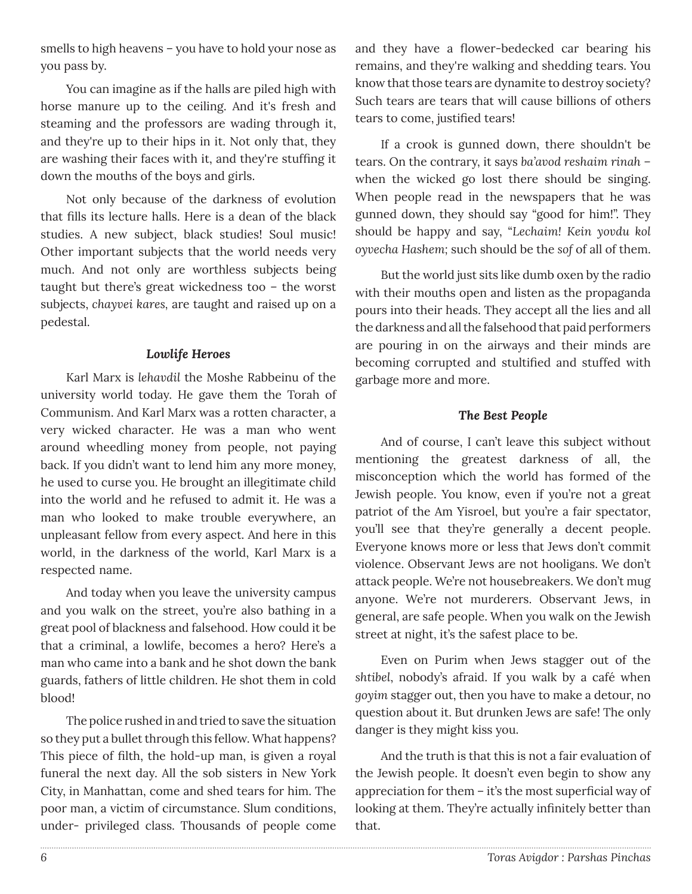smells to high heavens – you have to hold your nose as you pass by.

You can imagine as if the halls are piled high with horse manure up to the ceiling. And it's fresh and steaming and the professors are wading through it, and they're up to their hips in it. Not only that, they are washing their faces with it, and they're stuffing it down the mouths of the boys and girls.

Not only because of the darkness of evolution that fills its lecture halls. Here is a dean of the black studies. A new subject, black studies! Soul music! Other important subjects that the world needs very much. And not only are worthless subjects being taught but there's great wickedness too – the worst subjects, *chayvei kares,* are taught and raised up on a pedestal.

#### *Lowlife Heroes*

Karl Marx is *lehavdil* the Moshe Rabbeinu of the university world today. He gave them the Torah of Communism. And Karl Marx was a rotten character, a very wicked character. He was a man who went around wheedling money from people, not paying back. If you didn't want to lend him any more money, he used to curse you. He brought an illegitimate child into the world and he refused to admit it. He was a man who looked to make trouble everywhere, an unpleasant fellow from every aspect. And here in this world, in the darkness of the world, Karl Marx is a respected name.

And today when you leave the university campus and you walk on the street, you're also bathing in a great pool of blackness and falsehood. How could it be that a criminal, a lowlife, becomes a hero? Here's a man who came into a bank and he shot down the bank guards, fathers of little children. He shot them in cold blood!

The police rushed in and tried to save the situation so they put a bullet through this fellow. What happens? This piece of filth, the hold-up man, is given a royal funeral the next day. All the sob sisters in New York City, in Manhattan, come and shed tears for him. The poor man, a victim of circumstance. Slum conditions, under- privileged class. Thousands of people come

and they have a flower-bedecked car bearing his remains, and they're walking and shedding tears. You know that those tears are dynamite to destroy society? Such tears are tears that will cause billions of others tears to come, justified tears!

If a crook is gunned down, there shouldn't be tears. On the contrary, it says *ba'avod reshaim rinah –*  when the wicked go lost there should be singing. When people read in the newspapers that he was gunned down, they should say "good for him!". They should be happy and say, "*Lechaim! Kein yovdu kol oyvecha Hashem;* such should be the *sof* of all of them.

But the world just sits like dumb oxen by the radio with their mouths open and listen as the propaganda pours into their heads. They accept all the lies and all the darkness and all the falsehood that paid performers are pouring in on the airways and their minds are becoming corrupted and stultified and stuffed with garbage more and more.

#### *The Best People*

And of course, I can't leave this subject without mentioning the greatest darkness of all, the misconception which the world has formed of the Jewish people. You know, even if you're not a great patriot of the Am Yisroel, but you're a fair spectator, you'll see that they're generally a decent people. Everyone knows more or less that Jews don't commit violence. Observant Jews are not hooligans. We don't attack people. We're not housebreakers. We don't mug anyone. We're not murderers. Observant Jews, in general, are safe people. When you walk on the Jewish street at night, it's the safest place to be.

Even on Purim when Jews stagger out of the *shtibel*, nobody's afraid. If you walk by a café when *goyim* stagger out, then you have to make a detour, no question about it. But drunken Jews are safe! The only danger is they might kiss you.

And the truth is that this is not a fair evaluation of the Jewish people. It doesn't even begin to show any appreciation for them – it's the most superficial way of looking at them. They're actually infinitely better than that.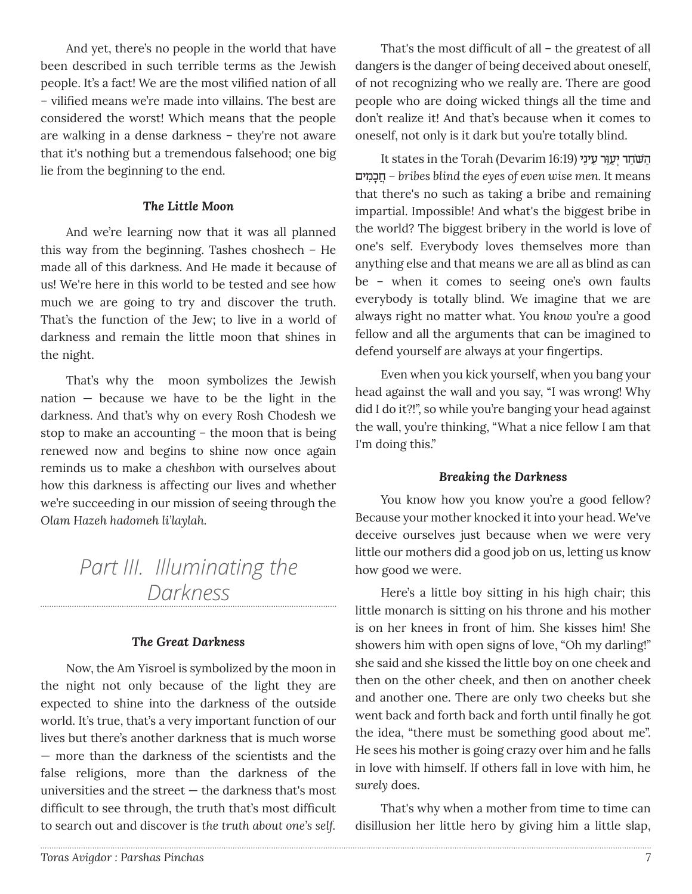And yet, there's no people in the world that have been described in such terrible terms as the Jewish people. It's a fact! We are the most vilified nation of all – vilified means we're made into villains. The best are considered the worst! Which means that the people are walking in a dense darkness – they're not aware that it's nothing but a tremendous falsehood; one big lie from the beginning to the end.

#### *The Little Moon*

And we're learning now that it was all planned this way from the beginning. Tashes choshech – He made all of this darkness. And He made it because of us! We're here in this world to be tested and see how much we are going to try and discover the truth. That's the function of the Jew; to live in a world of darkness and remain the little moon that shines in the night.

That's why the moon symbolizes the Jewish nation — because we have to be the light in the darkness. And that's why on every Rosh Chodesh we stop to make an accounting – the moon that is being renewed now and begins to shine now once again reminds us to make a *cheshbon* with ourselves about how this darkness is affecting our lives and whether we're succeeding in our mission of seeing through the *Olam Hazeh hadomeh li'laylah.*

> *Part III. Illuminating the Darkness*

#### *The Great Darkness*

Now, the Am Yisroel is symbolized by the moon in the night not only because of the light they are expected to shine into the darkness of the outside world. It's true, that's a very important function of our lives but there's another darkness that is much worse — more than the darkness of the scientists and the false religions, more than the darkness of the universities and the street — the darkness that's most difficult to see through, the truth that's most difficult to search out and discover is *the truth about one's self.*

That's the most difficult of all – the greatest of all dangers is the danger of being deceived about oneself, of not recognizing who we really are. There are good people who are doing wicked things all the time and don't realize it! And that's because when it comes to oneself, not only is it dark but you're totally blind.

יִהַשּׁחַר יִעַיֵּר עֵינֵי (16:19 Devarim הַשּׁחַר יִעַיִּר עֵינֵי מיםƒ כָחֲ *– bribes blind the eyes of even wise men.* It means that there's no such as taking a bribe and remaining impartial. Impossible! And what's the biggest bribe in the world? The biggest bribery in the world is love of one's self. Everybody loves themselves more than anything else and that means we are all as blind as can be – when it comes to seeing one's own faults everybody is totally blind. We imagine that we are always right no matter what. You *know* you're a good fellow and all the arguments that can be imagined to defend yourself are always at your fingertips.

Even when you kick yourself, when you bang your head against the wall and you say, "I was wrong! Why did I do it?!", so while you're banging your head against the wall, you're thinking, "What a nice fellow I am that I'm doing this."

#### *Breaking the Darkness*

You know how you know you're a good fellow? Because your mother knocked it into your head. We've deceive ourselves just because when we were very little our mothers did a good job on us, letting us know how good we were.

Here's a little boy sitting in his high chair; this little monarch is sitting on his throne and his mother is on her knees in front of him. She kisses him! She showers him with open signs of love, "Oh my darling!" she said and she kissed the little boy on one cheek and then on the other cheek, and then on another cheek and another one. There are only two cheeks but she went back and forth back and forth until finally he got the idea, "there must be something good about me". He sees his mother is going crazy over him and he falls in love with himself. If others fall in love with him, he *surely* does.

That's why when a mother from time to time can disillusion her little hero by giving him a little slap,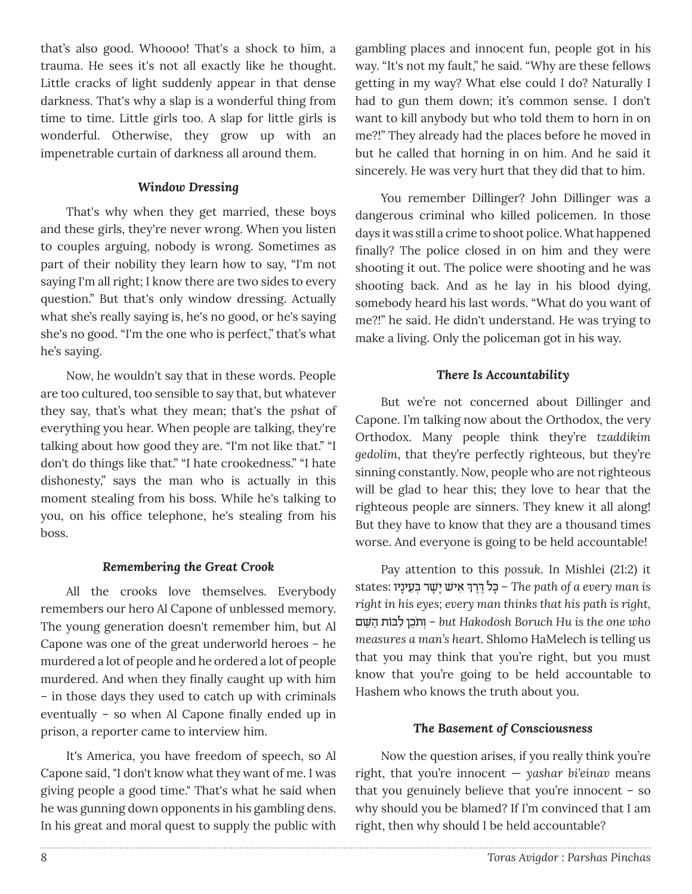that's also good. Whoooo! That's a shock to him, a trauma. He sees it's not all exactly like he thought. Little cracks of light suddenly appear in that dense darkness. That's why a slap is a wonderful thing from time to time. Little girls too. A slap for little girls is wonderful. Otherwise, they grow up with an impenetrable curtain of darkness all around them.

## *Window Dressing*

That's why when they get married, these boys and these girls, they're never wrong. When you listen to couples arguing, nobody is wrong. Sometimes as part of their nobility they learn how to say, "I'm not saying I'm all right; I know there are two sides to every question." But that's only window dressing. Actually what she's really saying is, he's no good, or he's saying she's no good. "I'm the one who is perfect," that's what he's saying.

Now, he wouldn't say that in these words. People are too cultured, too sensible to say that, but whatever they say, that's what they mean; that's the *pshat* of everything you hear. When people are talking, they're talking about how good they are. "I'm not like that." "I don't do things like that." "I hate crookedness." "I hate dishonesty," says the man who is actually in this moment stealing from his boss. While he's talking to you, on his office telephone, he's stealing from his boss.

#### *Remembering the Great Crook*

All the crooks love themselves. Everybody remembers our hero Al Capone of unblessed memory. The young generation doesn't remember him, but Al Capone was one of the great underworld heroes – he murdered a lot of people and he ordered a lot of people murdered. And when they finally caught up with him – in those days they used to catch up with criminals eventually – so when Al Capone finally ended up in prison, a reporter came to interview him.

It's America, you have freedom of speech, so Al Capone said, "I don't know what they want of me. I was giving people a good time." That's what he said when he was gunning down opponents in his gambling dens. In his great and moral quest to supply the public with gambling places and innocent fun, people got in his way. "It's not my fault," he said. "Why are these fellows getting in my way? What else could I do? Naturally I had to gun them down; it's common sense. I don't want to kill anybody but who told them to horn in on me?!" They already had the places before he moved in but he called that horning in on him. And he said it sincerely. He was very hurt that they did that to him.

You remember Dillinger? John Dillinger was a dangerous criminal who killed policemen. In those days it was still a crime to shoot police. What happened finally? The police closed in on him and they were shooting it out. The police were shooting and he was shooting back. And as he lay in his blood dying, somebody heard his last words. "What do you want of me?!" he said. He didn't understand. He was trying to make a living. Only the policeman got in his way.

## *There Is Accountability*

But we're not concerned about Dillinger and Capone. I'm talking now about the Orthodox, the very Orthodox. Many people think they're *tzaddikim gedolim*, that they're perfectly righteous, but they're sinning constantly. Now, people who are not righteous will be glad to hear this; they love to hear that the righteous people are sinners. They knew it all along! But they have to know that they are a thousand times worse. And everyone is going to be held accountable!

Pay attention to this *possuk*. In Mishlei (21:2) it ¿ ƒ‡ י ׁ˘ ָי ָׁ˘ר ¿ּב≈ע ָיניו :states רך "∆ּ∆ כלָּ – *The path of a every man is right in his eyes; every man thinks that his path is right,* ם≈˘ּׁ הַ˙ וֹבּ לƒ כן˙≈ֹ ו – ¿*but Hakodosh Boruch Hu is the one who measures a man's heart.* Shlomo HaMelech is telling us that you may think that you're right, but you must know that you're going to be held accountable to Hashem who knows the truth about you.

## *The Basement of Consciousness*

Now the question arises, if you really think you're right, that you're innocent — *yashar bi'einav* means that you genuinely believe that you're innocent – so why should you be blamed? If I'm convinced that I am right, then why should I be held accountable?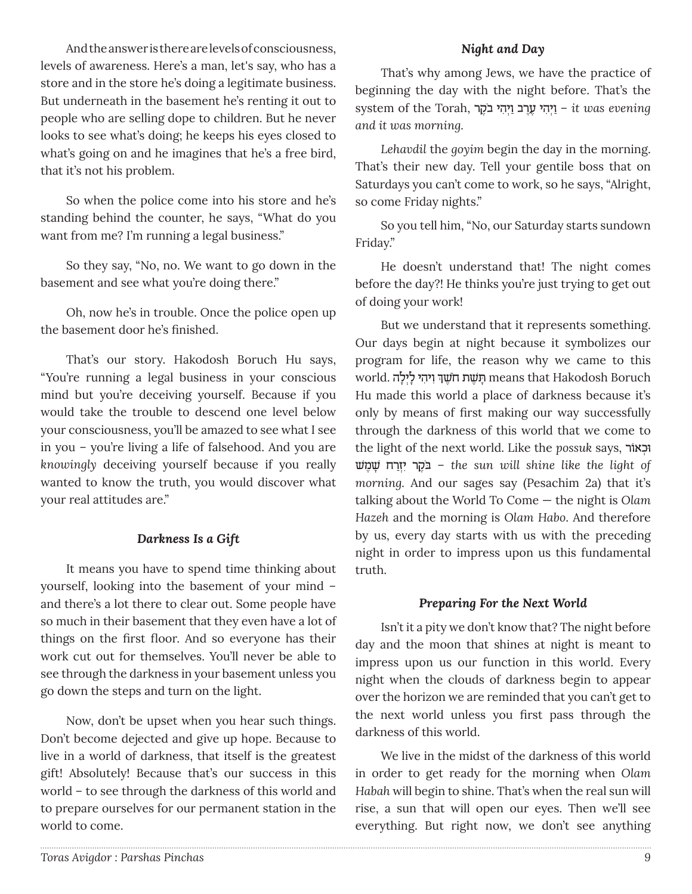And the answer is there are levels of consciousness, levels of awareness. Here's a man, let's say, who has a store and in the store he's doing a legitimate business. But underneath in the basement he's renting it out to people who are selling dope to children. But he never looks to see what's doing; he keeps his eyes closed to what's going on and he imagines that he's a free bird, that it's not his problem.

So when the police come into his store and he's standing behind the counter, he says, "What do you want from me? I'm running a legal business."

So they say, "No, no. We want to go down in the basement and see what you're doing there."

Oh, now he's in trouble. Once the police open up the basement door he's finished.

That's our story. Hakodosh Boruch Hu says, "You're running a legal business in your conscious mind but you're deceiving yourself. Because if you would take the trouble to descend one level below your consciousness, you'll be amazed to see what I see in you – you're living a life of falsehood. And you are *knowingly* deceiving yourself because if you really wanted to know the truth, you would discover what your real attitudes are."

#### *Darkness Is a Gift*

It means you have to spend time thinking about yourself, looking into the basement of your mind – and there's a lot there to clear out. Some people have so much in their basement that they even have a lot of things on the first floor. And so everyone has their work cut out for themselves. You'll never be able to see through the darkness in your basement unless you go down the steps and turn on the light.

Now, don't be upset when you hear such things. Don't become dejected and give up hope. Because to live in a world of darkness, that itself is the greatest gift! Absolutely! Because that's our success in this world – to see through the darkness of this world and to prepare ourselves for our permanent station in the world to come.

That's why among Jews, we have the practice of beginning the day with the night before. That's the evening *it* was *evening* – *it* was evening לְיִהֵי עֲרֹב וַיְהִי בֹּקָר *and it was morning.* 

*Lehavdil* the *goyim* begin the day in the morning. That's their new day. Tell your gentile boss that on Saturdays you can't come to work, so he says, "Alright, so come Friday nights."

So you tell him, "No, our Saturday starts sundown Friday."

He doesn't understand that! The night comes before the day?! He thinks you're just trying to get out of doing your work!

But we understand that it represents something. Our days begin at night because it symbolizes our program for life, the reason why we came to this ¿ ƒו ƒיהי ָל¿יָלה .world ך∆˘ׁ חֹ∆˘˙ ׁ˙ ָּ means that Hakodosh Boruch Hu made this world a place of darkness because it's only by means of first making our way successfully through the darkness of this world that we come to the light of the next world. Like the *possuk* says, וכִאוֹר ˘ׁ מ ˘∆ָׁ רחַז¿יƒ ר∆˜בֹ ּ – *the sun will shine like the light of morning.* And our sages say (Pesachim 2a) that it's talking about the World To Come — the night is *Olam Hazeh* and the morning is *Olam Habo*. And therefore by us, every day starts with us with the preceding night in order to impress upon us this fundamental truth.

#### *Preparing For the Next World*

Isn't it a pity we don't know that? The night before day and the moon that shines at night is meant to impress upon us our function in this world. Every night when the clouds of darkness begin to appear over the horizon we are reminded that you can't get to the next world unless you first pass through the darkness of this world.

We live in the midst of the darkness of this world in order to get ready for the morning when *Olam Habah* will begin to shine. That's when the real sun will rise, a sun that will open our eyes. Then we'll see everything. But right now, we don't see anything